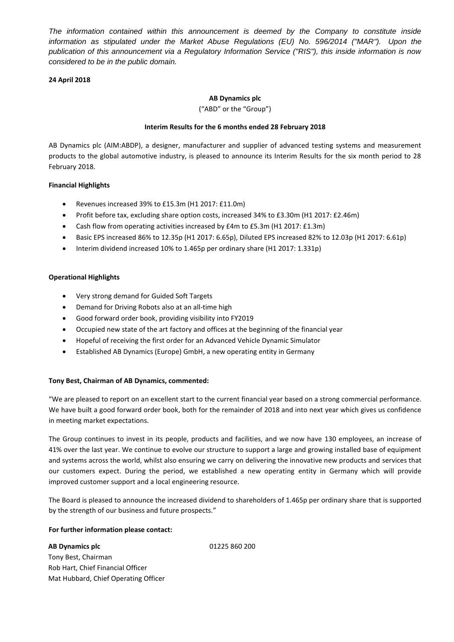*The information contained within this announcement is deemed by the Company to constitute inside information as stipulated under the Market Abuse Regulations (EU) No. 596/2014 ("MAR"). Upon the publication of this announcement via a Regulatory Information Service ("RIS"), this inside information is now considered to be in the public domain.*

# **24 April 2018**

# **AB Dynamics plc**

("ABD" or the "Group")

#### **Interim Results for the 6 months ended 28 February 2018**

AB Dynamics plc (AIM:ABDP), a designer, manufacturer and supplier of advanced testing systems and measurement products to the global automotive industry, is pleased to announce its Interim Results for the six month period to 28 February 2018.

## **Financial Highlights**

- Revenues increased 39% to £15.3m (H1 2017: £11.0m)
- Profit before tax, excluding share option costs, increased 34% to £3.30m (H1 2017: £2.46m)
- Cash flow from operating activities increased by £4m to £5.3m (H1 2017: £1.3m)
- Basic EPS increased 86% to 12.35p (H1 2017: 6.65p), Diluted EPS increased 82% to 12.03p (H1 2017: 6.61p)
- Interim dividend increased 10% to 1.465p per ordinary share (H1 2017: 1.331p)

## **Operational Highlights**

- Very strong demand for Guided Soft Targets
- Demand for Driving Robots also at an all-time high
- Good forward order book, providing visibility into FY2019
- Occupied new state of the art factory and offices at the beginning of the financial year
- Hopeful of receiving the first order for an Advanced Vehicle Dynamic Simulator
- Established AB Dynamics (Europe) GmbH, a new operating entity in Germany

## **Tony Best, Chairman of AB Dynamics, commented:**

"We are pleased to report on an excellent start to the current financial year based on a strong commercial performance. We have built a good forward order book, both for the remainder of 2018 and into next year which gives us confidence in meeting market expectations.

The Group continues to invest in its people, products and facilities, and we now have 130 employees, an increase of 41% over the last year. We continue to evolve our structure to support a large and growing installed base of equipment and systems across the world, whilst also ensuring we carry on delivering the innovative new products and services that our customers expect. During the period, we established a new operating entity in Germany which will provide improved customer support and a local engineering resource.

The Board is pleased to announce the increased dividend to shareholders of 1.465p per ordinary share that is supported by the strength of our business and future prospects."

## **For further information please contact:**

**AB Dynamics plc** Tony Best, Chairman Rob Hart, Chief Financial Officer Mat Hubbard, Chief Operating Officer 01225 860 200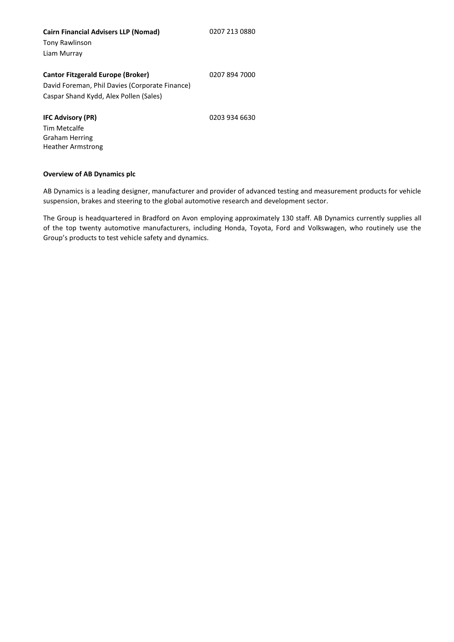**Cairn Financial Advisers LLP (Nomad)** Tony Rawlinson Liam Murray

### 0207 894 7000

**Cantor Fitzgerald Europe (Broker)** David Foreman, Phil Davies (Corporate Finance) Caspar Shand Kydd, Alex Pollen (Sales)

**IFC Advisory (PR)**

0203 934 6630

Tim Metcalfe Graham Herring Heather Armstrong

# **Overview of AB Dynamics plc**

AB Dynamics is a leading designer, manufacturer and provider of advanced testing and measurement products for vehicle suspension, brakes and steering to the global automotive research and development sector.

The Group is headquartered in Bradford on Avon employing approximately 130 staff. AB Dynamics currently supplies all of the top twenty automotive manufacturers, including Honda, Toyota, Ford and Volkswagen, who routinely use the Group's products to test vehicle safety and dynamics.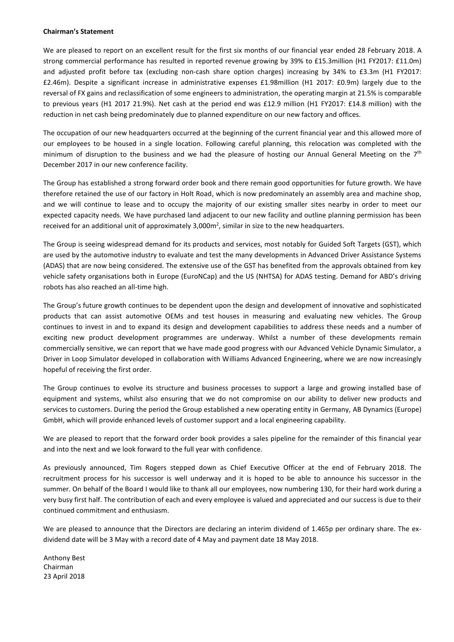#### **Chairman's Statement**

We are pleased to report on an excellent result for the first six months of our financial year ended 28 February 2018. A strong commercial performance has resulted in reported revenue growing by 39% to £15.3million (H1 FY2017: £11.0m) and adjusted profit before tax (excluding non-cash share option charges) increasing by 34% to £3.3m (H1 FY2017: £2.46m). Despite a significant increase in administrative expenses £1.98million (H1 2017: £0.9m) largely due to the reversal of FX gains and reclassification of some engineers to administration, the operating margin at 21.5% is comparable to previous years (H1 2017 21.9%). Net cash at the period end was £12.9 million (H1 FY2017: £14.8 million) with the reduction in net cash being predominately due to planned expenditure on our new factory and offices.

The occupation of our new headquarters occurred at the beginning of the current financial year and this allowed more of our employees to be housed in a single location. Following careful planning, this relocation was completed with the minimum of disruption to the business and we had the pleasure of hosting our Annual General Meeting on the 7<sup>th</sup> December 2017 in our new conference facility.

The Group has established a strong forward order book and there remain good opportunities for future growth. We have therefore retained the use of our factory in Holt Road, which is now predominately an assembly area and machine shop, and we will continue to lease and to occupy the majority of our existing smaller sites nearby in order to meet our expected capacity needs. We have purchased land adjacent to our new facility and outline planning permission has been received for an additional unit of approximately 3,000 $m<sup>2</sup>$ , similar in size to the new headquarters.

The Group is seeing widespread demand for its products and services, most notably for Guided Soft Targets (GST), which are used by the automotive industry to evaluate and test the many developments in Advanced Driver Assistance Systems (ADAS) that are now being considered. The extensive use of the GST has benefited from the approvals obtained from key vehicle safety organisations both in Europe (EuroNCap) and the US (NHTSA) for ADAS testing. Demand for ABD's driving robots has also reached an all-time high.

The Group's future growth continues to be dependent upon the design and development of innovative and sophisticated products that can assist automotive OEMs and test houses in measuring and evaluating new vehicles. The Group continues to invest in and to expand its design and development capabilities to address these needs and a number of exciting new product development programmes are underway. Whilst a number of these developments remain commercially sensitive, we can report that we have made good progress with our Advanced Vehicle Dynamic Simulator, a Driver in Loop Simulator developed in collaboration with Williams Advanced Engineering, where we are now increasingly hopeful of receiving the first order.

The Group continues to evolve its structure and business processes to support a large and growing installed base of equipment and systems, whilst also ensuring that we do not compromise on our ability to deliver new products and services to customers. During the period the Group established a new operating entity in Germany, AB Dynamics (Europe) GmbH, which will provide enhanced levels of customer support and a local engineering capability.

We are pleased to report that the forward order book provides a sales pipeline for the remainder of this financial year and into the next and we look forward to the full year with confidence.

As previously announced, Tim Rogers stepped down as Chief Executive Officer at the end of February 2018. The recruitment process for his successor is well underway and it is hoped to be able to announce his successor in the summer. On behalf of the Board I would like to thank all our employees, now numbering 130, for their hard work during a very busy first half. The contribution of each and every employee is valued and appreciated and our success is due to their continued commitment and enthusiasm.

We are pleased to announce that the Directors are declaring an interim dividend of 1.465p per ordinary share. The exdividend date will be 3 May with a record date of 4 May and payment date 18 May 2018.

Anthony Best Chairman 23 April 2018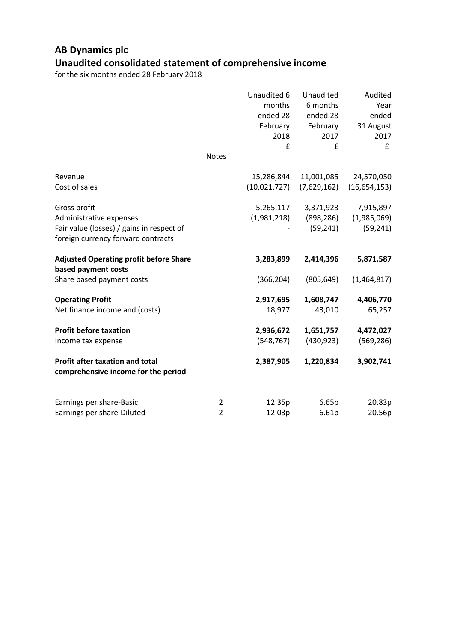# **AB Dynamics plc Unaudited consolidated statement of comprehensive income**

|                                                                               |                | Unaudited 6<br>months<br>ended 28<br>February<br>2018<br>£ | Unaudited<br>6 months<br>ended 28<br>February<br>2017<br>£ | Audited<br>Year<br>ended<br>31 August<br>2017<br>f |
|-------------------------------------------------------------------------------|----------------|------------------------------------------------------------|------------------------------------------------------------|----------------------------------------------------|
|                                                                               | <b>Notes</b>   |                                                            |                                                            |                                                    |
| Revenue                                                                       |                | 15,286,844                                                 | 11,001,085                                                 | 24,570,050                                         |
| Cost of sales                                                                 |                | (10,021,727)                                               | (7,629,162)                                                | (16,654,153)                                       |
| Gross profit                                                                  |                | 5,265,117                                                  | 3,371,923                                                  | 7,915,897                                          |
| Administrative expenses                                                       |                | (1,981,218)                                                | (898, 286)                                                 | (1,985,069)                                        |
| Fair value (losses) / gains in respect of                                     |                |                                                            | (59, 241)                                                  | (59, 241)                                          |
| foreign currency forward contracts                                            |                |                                                            |                                                            |                                                    |
| <b>Adjusted Operating profit before Share</b><br>based payment costs          |                | 3,283,899                                                  | 2,414,396                                                  | 5,871,587                                          |
| Share based payment costs                                                     |                | (366, 204)                                                 | (805, 649)                                                 | (1,464,817)                                        |
| <b>Operating Profit</b>                                                       |                | 2,917,695                                                  | 1,608,747                                                  | 4,406,770                                          |
| Net finance income and (costs)                                                |                | 18,977                                                     | 43,010                                                     | 65,257                                             |
| <b>Profit before taxation</b>                                                 |                | 2,936,672                                                  | 1,651,757                                                  | 4,472,027                                          |
| Income tax expense                                                            |                | (548, 767)                                                 | (430, 923)                                                 | (569, 286)                                         |
| <b>Profit after taxation and total</b><br>comprehensive income for the period |                | 2,387,905                                                  | 1,220,834                                                  | 3,902,741                                          |
| Earnings per share-Basic                                                      | $\overline{2}$ | 12.35p                                                     | 6.65p                                                      | 20.83p                                             |
| Earnings per share-Diluted                                                    | $\overline{2}$ | 12.03p                                                     | 6.61p                                                      | 20.56p                                             |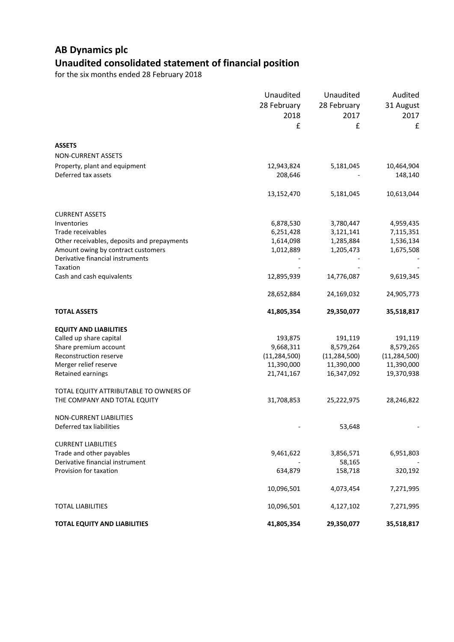# **AB Dynamics plc Unaudited consolidated statement of financial position**

|                                             | Unaudited      | Unaudited      | Audited        |
|---------------------------------------------|----------------|----------------|----------------|
|                                             | 28 February    | 28 February    | 31 August      |
|                                             | 2018           | 2017           | 2017           |
|                                             | £              | £              | £              |
|                                             |                |                |                |
| <b>ASSETS</b>                               |                |                |                |
| <b>NON-CURRENT ASSETS</b>                   |                |                |                |
| Property, plant and equipment               | 12,943,824     | 5,181,045      | 10,464,904     |
| Deferred tax assets                         | 208,646        |                | 148,140        |
|                                             |                |                |                |
|                                             | 13,152,470     | 5,181,045      | 10,613,044     |
| <b>CURRENT ASSETS</b>                       |                |                |                |
| Inventories                                 | 6,878,530      | 3,780,447      | 4,959,435      |
| Trade receivables                           | 6,251,428      | 3,121,141      | 7,115,351      |
| Other receivables, deposits and prepayments | 1,614,098      | 1,285,884      | 1,536,134      |
| Amount owing by contract customers          | 1,012,889      | 1,205,473      | 1,675,508      |
| Derivative financial instruments            |                |                |                |
| Taxation                                    |                |                |                |
| Cash and cash equivalents                   | 12,895,939     | 14,776,087     | 9,619,345      |
|                                             | 28,652,884     | 24,169,032     | 24,905,773     |
| <b>TOTAL ASSETS</b>                         | 41,805,354     | 29,350,077     | 35,518,817     |
| <b>EQUITY AND LIABILITIES</b>               |                |                |                |
| Called up share capital                     | 193,875        | 191,119        | 191,119        |
| Share premium account                       | 9,668,311      | 8,579,264      | 8,579,265      |
| Reconstruction reserve                      | (11, 284, 500) | (11, 284, 500) | (11, 284, 500) |
| Merger relief reserve                       | 11,390,000     | 11,390,000     | 11,390,000     |
| Retained earnings                           | 21,741,167     | 16,347,092     | 19,370,938     |
| TOTAL EQUITY ATTRIBUTABLE TO OWNERS OF      |                |                |                |
| THE COMPANY AND TOTAL EQUITY                | 31,708,853     | 25,222,975     | 28,246,822     |
|                                             |                |                |                |
| <b>NON-CURRENT LIABILITIES</b>              |                |                |                |
| Deferred tax liabilities                    |                | 53,648         |                |
| <b>CURRENT LIABILITIES</b>                  |                |                |                |
| Trade and other payables                    | 9,461,622      | 3,856,571      | 6,951,803      |
| Derivative financial instrument             |                | 58,165         |                |
| Provision for taxation                      | 634,879        | 158,718        | 320,192        |
|                                             | 10,096,501     | 4,073,454      | 7,271,995      |
| <b>TOTAL LIABILITIES</b>                    | 10,096,501     | 4,127,102      | 7,271,995      |
| <b>TOTAL EQUITY AND LIABILITIES</b>         | 41,805,354     | 29,350,077     | 35,518,817     |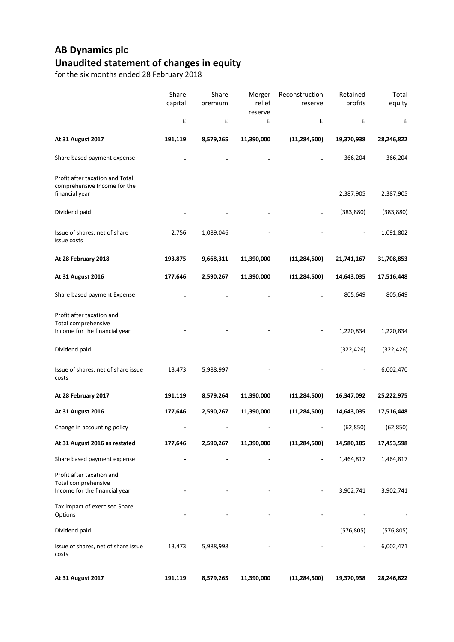# **AB Dynamics plc Unaudited statement of changes in equity**

|                                                                                   | Share<br>capital   | Share<br>premium | Merger<br>relief<br>reserve | Reconstruction<br>reserve | Retained<br>profits | Total<br>equity |
|-----------------------------------------------------------------------------------|--------------------|------------------|-----------------------------|---------------------------|---------------------|-----------------|
|                                                                                   | $\pmb{\mathsf{f}}$ | £                | £                           | £                         | £                   | £               |
| At 31 August 2017                                                                 | 191,119            | 8,579,265        | 11,390,000                  | (11, 284, 500)            | 19,370,938          | 28,246,822      |
| Share based payment expense                                                       |                    |                  |                             |                           | 366,204             | 366,204         |
| Profit after taxation and Total<br>comprehensive Income for the<br>financial year |                    |                  |                             |                           | 2,387,905           | 2,387,905       |
| Dividend paid                                                                     |                    |                  |                             |                           | (383, 880)          | (383, 880)      |
| Issue of shares, net of share<br>issue costs                                      | 2,756              | 1,089,046        |                             |                           |                     | 1,091,802       |
| At 28 February 2018                                                               | 193,875            | 9,668,311        | 11,390,000                  | (11, 284, 500)            | 21,741,167          | 31,708,853      |
| At 31 August 2016                                                                 | 177,646            | 2,590,267        | 11,390,000                  | (11, 284, 500)            | 14,643,035          | 17,516,448      |
| Share based payment Expense                                                       |                    |                  |                             |                           | 805,649             | 805,649         |
| Profit after taxation and<br>Total comprehensive<br>Income for the financial year |                    |                  |                             |                           | 1,220,834           | 1,220,834       |
| Dividend paid                                                                     |                    |                  |                             |                           | (322, 426)          | (322, 426)      |
| Issue of shares, net of share issue<br>costs                                      | 13,473             | 5,988,997        |                             |                           |                     | 6,002,470       |
| At 28 February 2017                                                               | 191,119            | 8,579,264        | 11,390,000                  | (11, 284, 500)            | 16,347,092          | 25,222,975      |
| At 31 August 2016                                                                 | 177,646            | 2,590,267        | 11,390,000                  | (11, 284, 500)            | 14,643,035          | 17,516,448      |
| Change in accounting policy                                                       |                    |                  |                             |                           | (62, 850)           | (62, 850)       |
| At 31 August 2016 as restated                                                     | 177,646            | 2,590,267        | 11,390,000                  | (11, 284, 500)            | 14,580,185          | 17,453,598      |
| Share based payment expense                                                       |                    |                  |                             |                           | 1,464,817           | 1,464,817       |
| Profit after taxation and<br>Total comprehensive<br>Income for the financial year |                    |                  |                             |                           | 3,902,741           | 3,902,741       |
| Tax impact of exercised Share<br>Options                                          |                    |                  |                             |                           |                     |                 |
| Dividend paid                                                                     |                    |                  |                             |                           | (576, 805)          | (576, 805)      |
| Issue of shares, net of share issue<br>costs                                      | 13,473             | 5,988,998        |                             |                           |                     | 6,002,471       |
| At 31 August 2017                                                                 | 191,119            | 8,579,265        | 11,390,000                  | (11, 284, 500)            | 19,370,938          | 28,246,822      |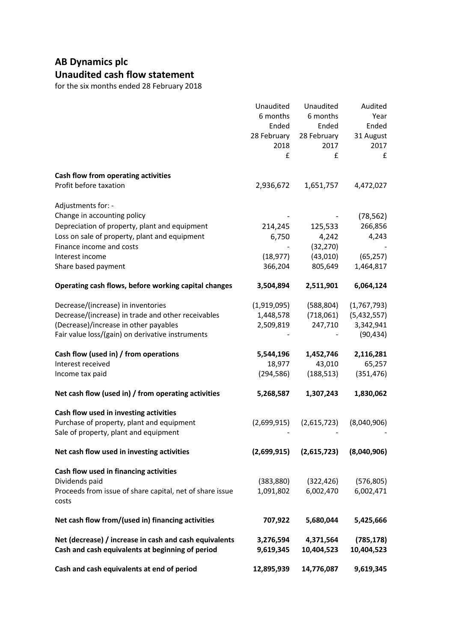# **AB Dynamics plc Unaudited cash flow statement**

|                                                          | Unaudited         | Unaudited         | Audited       |
|----------------------------------------------------------|-------------------|-------------------|---------------|
|                                                          | 6 months<br>Ended | 6 months<br>Ended | Year<br>Ended |
|                                                          | 28 February       | 28 February       | 31 August     |
|                                                          | 2018              | 2017              | 2017          |
|                                                          | £                 | £                 | £             |
|                                                          |                   |                   |               |
| Cash flow from operating activities                      |                   |                   |               |
| Profit before taxation                                   | 2,936,672         | 1,651,757         | 4,472,027     |
| Adjustments for: -                                       |                   |                   |               |
| Change in accounting policy                              |                   |                   | (78, 562)     |
| Depreciation of property, plant and equipment            | 214,245           | 125,533           | 266,856       |
| Loss on sale of property, plant and equipment            | 6,750             | 4,242             | 4,243         |
| Finance income and costs                                 |                   | (32, 270)         |               |
| Interest income                                          | (18, 977)         | (43,010)          | (65, 257)     |
| Share based payment                                      | 366,204           | 805,649           | 1,464,817     |
| Operating cash flows, before working capital changes     | 3,504,894         | 2,511,901         | 6,064,124     |
| Decrease/(increase) in inventories                       | (1,919,095)       | (588, 804)        | (1,767,793)   |
| Decrease/(increase) in trade and other receivables       | 1,448,578         | (718,061)         | (5,432,557)   |
| (Decrease)/increase in other payables                    | 2,509,819         | 247,710           | 3,342,941     |
| Fair value loss/(gain) on derivative instruments         |                   |                   | (90, 434)     |
| Cash flow (used in) / from operations                    | 5,544,196         | 1,452,746         | 2,116,281     |
| Interest received                                        | 18,977            | 43,010            | 65,257        |
| Income tax paid                                          | (294, 586)        | (188, 513)        | (351, 476)    |
| Net cash flow (used in) / from operating activities      | 5,268,587         | 1,307,243         | 1,830,062     |
| Cash flow used in investing activities                   |                   |                   |               |
| Purchase of property, plant and equipment                | (2,699,915)       | (2,615,723)       | (8,040,906)   |
| Sale of property, plant and equipment                    |                   |                   |               |
| Net cash flow used in investing activities               | (2,699,915)       | (2,615,723)       | (8,040,906)   |
| Cash flow used in financing activities                   |                   |                   |               |
| Dividends paid                                           | (383, 880)        | (322, 426)        | (576, 805)    |
| Proceeds from issue of share capital, net of share issue | 1,091,802         | 6,002,470         | 6,002,471     |
| costs                                                    |                   |                   |               |
| Net cash flow from/(used in) financing activities        | 707,922           | 5,680,044         | 5,425,666     |
| Net (decrease) / increase in cash and cash equivalents   | 3,276,594         | 4,371,564         | (785, 178)    |
| Cash and cash equivalents at beginning of period         | 9,619,345         | 10,404,523        | 10,404,523    |
| Cash and cash equivalents at end of period               | 12,895,939        | 14,776,087        | 9,619,345     |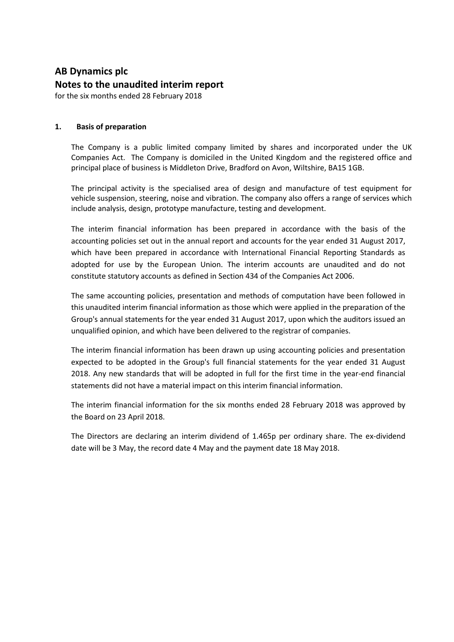# **AB Dynamics plc Notes to the unaudited interim report**

for the six months ended 28 February 2018

# **1. Basis of preparation**

The Company is a public limited company limited by shares and incorporated under the UK Companies Act. The Company is domiciled in the United Kingdom and the registered office and principal place of business is Middleton Drive, Bradford on Avon, Wiltshire, BA15 1GB.

The principal activity is the specialised area of design and manufacture of test equipment for vehicle suspension, steering, noise and vibration. The company also offers a range of services which include analysis, design, prototype manufacture, testing and development.

The interim financial information has been prepared in accordance with the basis of the accounting policies set out in the annual report and accounts for the year ended 31 August 2017, which have been prepared in accordance with International Financial Reporting Standards as adopted for use by the European Union. The interim accounts are unaudited and do not constitute statutory accounts as defined in Section 434 of the Companies Act 2006.

The same accounting policies, presentation and methods of computation have been followed in this unaudited interim financial information as those which were applied in the preparation of the Group's annual statements for the year ended 31 August 2017, upon which the auditors issued an unqualified opinion, and which have been delivered to the registrar of companies.

The interim financial information has been drawn up using accounting policies and presentation expected to be adopted in the Group's full financial statements for the year ended 31 August 2018. Any new standards that will be adopted in full for the first time in the year-end financial statements did not have a material impact on this interim financial information.

The interim financial information for the six months ended 28 February 2018 was approved by the Board on 23 April 2018.

The Directors are declaring an interim dividend of 1.465p per ordinary share. The ex-dividend date will be 3 May, the record date 4 May and the payment date 18 May 2018.